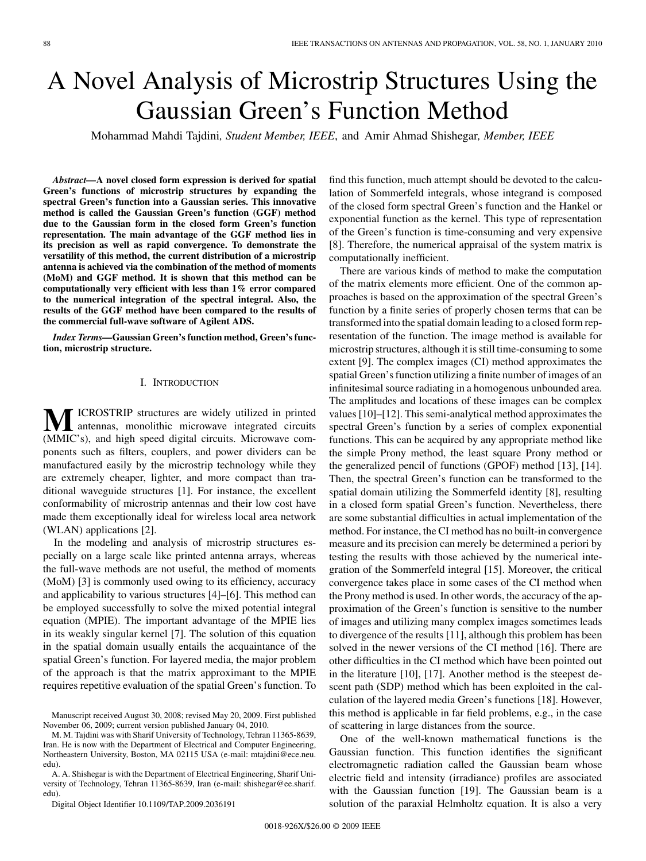# A Novel Analysis of Microstrip Structures Using the Gaussian Green's Function Method

Mohammad Mahdi Tajdini*, Student Member, IEEE*, and Amir Ahmad Shishegar*, Member, IEEE*

*Abstract—***A novel closed form expression is derived for spatial Green's functions of microstrip structures by expanding the spectral Green's function into a Gaussian series. This innovative method is called the Gaussian Green's function (GGF) method due to the Gaussian form in the closed form Green's function representation. The main advantage of the GGF method lies in its precision as well as rapid convergence. To demonstrate the versatility of this method, the current distribution of a microstrip antenna is achieved via the combination of the method of moments (MoM) and GGF method. It is shown that this method can be computationally very efficient with less than 1% error compared to the numerical integration of the spectral integral. Also, the results of the GGF method have been compared to the results of the commercial full-wave software of Agilent ADS.**

*Index Terms—***Gaussian Green's function method, Green's function, microstrip structure.**

#### I. INTRODUCTION

**M**ICROSTRIP structures are widely utilized in printed<br> **AMIC**'s) and high speed dirital signify Microwave approximately (MMIC's), and high speed digital circuits. Microwave components such as filters, couplers, and power dividers can be manufactured easily by the microstrip technology while they are extremely cheaper, lighter, and more compact than traditional waveguide structures [1]. For instance, the excellent conformability of microstrip antennas and their low cost have made them exceptionally ideal for wireless local area network (WLAN) applications [2].

In the modeling and analysis of microstrip structures especially on a large scale like printed antenna arrays, whereas the full-wave methods are not useful, the method of moments (MoM) [3] is commonly used owing to its efficiency, accuracy and applicability to various structures [4]–[6]. This method can be employed successfully to solve the mixed potential integral equation (MPIE). The important advantage of the MPIE lies in its weakly singular kernel [7]. The solution of this equation in the spatial domain usually entails the acquaintance of the spatial Green's function. For layered media, the major problem of the approach is that the matrix approximant to the MPIE requires repetitive evaluation of the spatial Green's function. To

A. A. Shishegar is with the Department of Electrical Engineering, Sharif University of Technology, Tehran 11365-8639, Iran (e-mail: shishegar@ee.sharif. edu).

Digital Object Identifier 10.1109/TAP.2009.2036191

find this function, much attempt should be devoted to the calculation of Sommerfeld integrals, whose integrand is composed of the closed form spectral Green's function and the Hankel or exponential function as the kernel. This type of representation of the Green's function is time-consuming and very expensive [8]. Therefore, the numerical appraisal of the system matrix is computationally inefficient.

There are various kinds of method to make the computation of the matrix elements more efficient. One of the common approaches is based on the approximation of the spectral Green's function by a finite series of properly chosen terms that can be transformed into the spatial domain leading to a closed form representation of the function. The image method is available for microstrip structures, although it is still time-consuming to some extent [9]. The complex images (CI) method approximates the spatial Green's function utilizing a finite number of images of an infinitesimal source radiating in a homogenous unbounded area. The amplitudes and locations of these images can be complex values [10]–[12]. This semi-analytical method approximates the spectral Green's function by a series of complex exponential functions. This can be acquired by any appropriate method like the simple Prony method, the least square Prony method or the generalized pencil of functions (GPOF) method [13], [14]. Then, the spectral Green's function can be transformed to the spatial domain utilizing the Sommerfeld identity [8], resulting in a closed form spatial Green's function. Nevertheless, there are some substantial difficulties in actual implementation of the method. For instance, the CI method has no built-in convergence measure and its precision can merely be determined a periori by testing the results with those achieved by the numerical integration of the Sommerfeld integral [15]. Moreover, the critical convergence takes place in some cases of the CI method when the Prony method is used. In other words, the accuracy of the approximation of the Green's function is sensitive to the number of images and utilizing many complex images sometimes leads to divergence of the results [11], although this problem has been solved in the newer versions of the CI method [16]. There are other difficulties in the CI method which have been pointed out in the literature [10], [17]. Another method is the steepest descent path (SDP) method which has been exploited in the calculation of the layered media Green's functions [18]. However, this method is applicable in far field problems, e.g., in the case of scattering in large distances from the source.

One of the well-known mathematical functions is the Gaussian function. This function identifies the significant electromagnetic radiation called the Gaussian beam whose electric field and intensity (irradiance) profiles are associated with the Gaussian function [19]. The Gaussian beam is a solution of the paraxial Helmholtz equation. It is also a very

Manuscript received August 30, 2008; revised May 20, 2009. First published November 06, 2009; current version published January 04, 2010.

M. M. Tajdini was with Sharif University of Technology, Tehran 11365-8639, Iran. He is now with the Department of Electrical and Computer Engineering, Northeastern University, Boston, MA 02115 USA (e-mail: mtajdini@ece.neu. edu).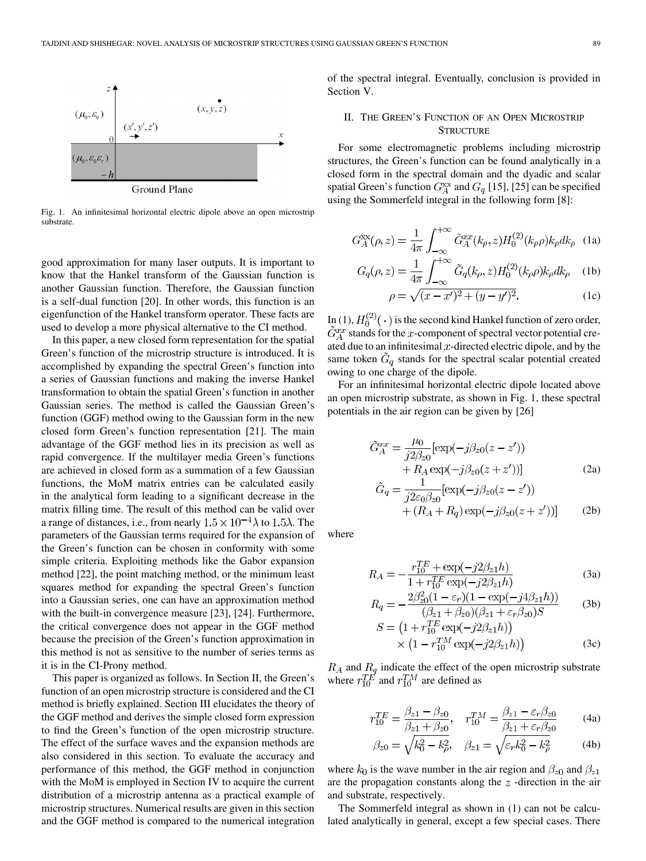

Fig. 1. An infinitesimal horizontal electric dipole above an open microstrip substrate.

good approximation for many laser outputs. It is important to know that the Hankel transform of the Gaussian function is another Gaussian function. Therefore, the Gaussian function is a self-dual function [20]. In other words, this function is an eigenfunction of the Hankel transform operator. These facts are used to develop a more physical alternative to the CI method.

In this paper, a new closed form representation for the spatial Green's function of the microstrip structure is introduced. It is accomplished by expanding the spectral Green's function into a series of Gaussian functions and making the inverse Hankel transformation to obtain the spatial Green's function in another Gaussian series. The method is called the Gaussian Green's function (GGF) method owing to the Gaussian form in the new closed form Green's function representation [21]. The main advantage of the GGF method lies in its precision as well as rapid convergence. If the multilayer media Green's functions are achieved in closed form as a summation of a few Gaussian functions, the MoM matrix entries can be calculated easily in the analytical form leading to a significant decrease in the matrix filling time. The result of this method can be valid over a range of distances, i.e., from nearly  $1.5 \times 10^{-4} \lambda$  to  $1.5 \lambda$ . The parameters of the Gaussian terms required for the expansion of the Green's function can be chosen in conformity with some simple criteria. Exploiting methods like the Gabor expansion method [22], the point matching method, or the minimum least squares method for expanding the spectral Green's function into a Gaussian series, one can have an approximation method with the built-in convergence measure [23], [24]. Furthermore, the critical convergence does not appear in the GGF method because the precision of the Green's function approximation in this method is not as sensitive to the number of series terms as it is in the CI-Prony method.

This paper is organized as follows. In Section II, the Green's function of an open microstrip structure is considered and the CI method is briefly explained. Section III elucidates the theory of the GGF method and derives the simple closed form expression to find the Green's function of the open microstrip structure. The effect of the surface waves and the expansion methods are also considered in this section. To evaluate the accuracy and performance of this method, the GGF method in conjunction with the MoM is employed in Section IV to acquire the current distribution of a microstrip antenna as a practical example of microstrip structures. Numerical results are given in this section and the GGF method is compared to the numerical integration

of the spectral integral. Eventually, conclusion is provided in Section V.

## II. THE GREEN'S FUNCTION OF AN OPEN MICROSTRIP **STRUCTURE**

For some electromagnetic problems including microstrip structures, the Green's function can be found analytically in a closed form in the spectral domain and the dyadic and scalar spatial Green's function  $G_A^{xx}$  and  $G_q$  [15], [25] can be specified using the Sommerfeld integral in the following form [8]:

$$
G_A^{\rm xx}(\rho, z) = \frac{1}{4\pi} \int_{-\infty}^{+\infty} \tilde{G}_A^{\rm xx}(k_\rho, z) H_0^{(2)}(k_\rho \rho) k_\rho dk_\rho \quad (1a)
$$

$$
G_q(\rho, z) = \frac{1}{4\pi} \int_{-\infty}^{\infty} \tilde{G}_q(k_\rho, z) H_0^{(2)}(k_\rho \rho) k_\rho dk_\rho \quad (1b)
$$

$$
\rho = \sqrt{(x - x')^2 + (y - y')^2}.
$$
 (1c)

In (1),  $H_0^{(2)}(\cdot)$  is the second kind Hankel function of zero order, stands for the  $x$ -component of spectral vector potential created due to an infinitesimal  $x$ -directed electric dipole, and by the same token  $G<sub>q</sub>$  stands for the spectral scalar potential created owing to one charge of the dipole.

For an infinitesimal horizontal electric dipole located above an open microstrip substrate, as shown in Fig. 1, these spectral potentials in the air region can be given by [26]

$$
\tilde{G}_{A}^{xx} = \frac{\mu_0}{j2\beta_{z0}} [\exp(-j\beta_{z0}(z - z')) \n+ R_A \exp(-j\beta_{z0}(z + z'))]
$$
\n(2a)

$$
\tilde{G}_q = \frac{1}{j2\varepsilon_0 \beta_{z0}} [\exp(-j\beta_{z0}(z - z')) \n+ (R_A + R_q) \exp(-j\beta_{z0}(z + z'))]
$$
\n(2b)

where

$$
R_A = -\frac{r_{10}^{TE} + \exp(-j2\beta_{z1}h)}{1 + r_{10}^{TE}\exp(-j2\beta_{z1}h)}
$$
(3a)

$$
R_q = -\frac{2\beta_{z0}^2 (1 - \varepsilon_r)(1 - \exp(-j4\beta_{z1}h))}{(\beta_{z1} + \beta_{z0})(\beta_{z1} + \varepsilon_r \beta_{z0})S}
$$
 (3b)

$$
S = (1 + r_{10}^{TE} \exp(-j2\beta_{z1}h))
$$
  
× (1 - r\_{10}^{TM} \exp(-j2\beta\_{z1}h)) (3c)

and  $R_q$  indicate the effect of the open microstrip substrate where  $r_{10}^{TE}$  and  $r_{10}^{TM}$  are defined as

$$
r_{10}^{TE} = \frac{\beta_{z1} - \beta_{z0}}{\beta_{z1} + \beta_{z0}}, \quad r_{10}^{TM} = \frac{\beta_{z1} - \varepsilon_r \beta_{z0}}{\beta_{z1} + \varepsilon_r \beta_{z0}} \tag{4a}
$$

$$
\beta_{z0} = \sqrt{k_0^2 - k_\rho^2}, \quad \beta_{z1} = \sqrt{\varepsilon_r k_0^2 - k_\rho^2}
$$
 (4b)

where  $k_0$  is the wave number in the air region and  $\beta_{z0}$  and  $\beta_{z1}$ are the propagation constants along the  $z$ -direction in the air and substrate, respectively.

The Sommerfeld integral as shown in (1) can not be calculated analytically in general, except a few special cases. There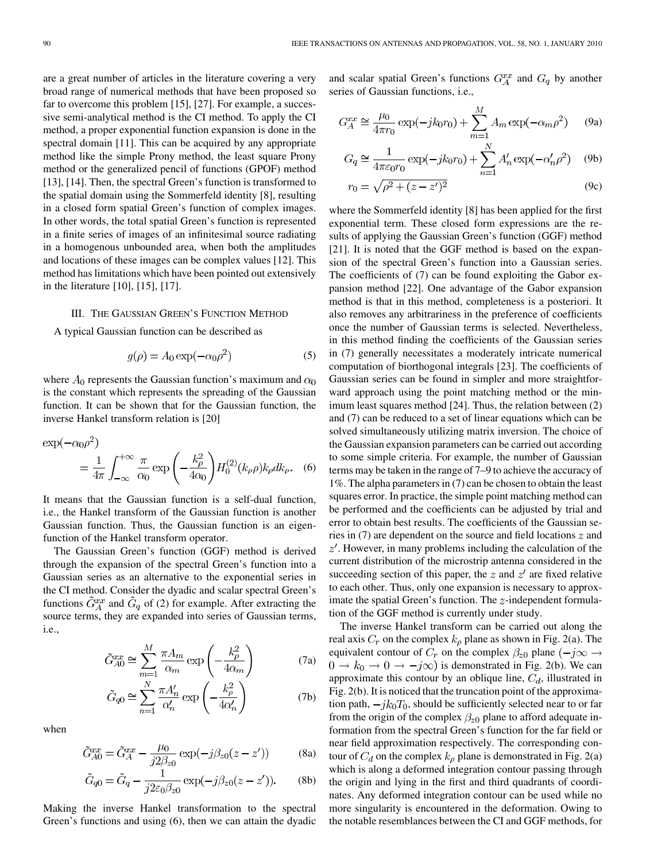are a great number of articles in the literature covering a very broad range of numerical methods that have been proposed so far to overcome this problem [15], [27]. For example, a successive semi-analytical method is the CI method. To apply the CI method, a proper exponential function expansion is done in the spectral domain [11]. This can be acquired by any appropriate method like the simple Prony method, the least square Prony method or the generalized pencil of functions (GPOF) method [13], [14]. Then, the spectral Green's function is transformed to the spatial domain using the Sommerfeld identity [8], resulting in a closed form spatial Green's function of complex images. In other words, the total spatial Green's function is represented in a finite series of images of an infinitesimal source radiating in a homogenous unbounded area, when both the amplitudes and locations of these images can be complex values [12]. This method has limitations which have been pointed out extensively in the literature [10], [15], [17].

## III. THE GAUSSIAN GREEN'S FUNCTION METHOD

A typical Gaussian function can be described as

$$
g(\rho) = A_0 \exp(-\alpha_0 \rho^2)
$$
 (5)

where  $A_0$  represents the Gaussian function's maximum and  $\alpha_0$ is the constant which represents the spreading of the Gaussian function. It can be shown that for the Gaussian function, the inverse Hankel transform relation is [20]

$$
\exp(-\alpha_0 \rho^2)
$$
  
=  $\frac{1}{4\pi} \int_{-\infty}^{+\infty} \frac{\pi}{\alpha_0} \exp\left(-\frac{k_\rho^2}{4\alpha_0}\right) H_0^{(2)}(k_\rho \rho) k_\rho dk_\rho.$  (6)

It means that the Gaussian function is a self-dual function, i.e., the Hankel transform of the Gaussian function is another Gaussian function. Thus, the Gaussian function is an eigenfunction of the Hankel transform operator.

The Gaussian Green's function (GGF) method is derived through the expansion of the spectral Green's function into a Gaussian series as an alternative to the exponential series in the CI method. Consider the dyadic and scalar spectral Green's functions  $\tilde{G}_{A}^{xx}$  and  $\tilde{G}_{q}$  of (2) for example. After extracting the source terms, they are expanded into series of Gaussian terms, i.e.,

$$
\tilde{G}_{A0}^{xx} \cong \sum_{m=1}^{M} \frac{\pi A_m}{\alpha_m} \exp\left(-\frac{k_\rho^2}{4\alpha_m}\right)
$$
(7a)

$$
\tilde{G}_{q0} \cong \sum_{n=1}^{N} \frac{\pi A_n'}{\alpha_n'} \exp\left(-\frac{k_\rho^2}{4\alpha_n'}\right)
$$
 (7b)

when

$$
\tilde{G}_{A0}^{xx} = \tilde{G}_A^{xx} - \frac{\mu_0}{j2\beta_{z0}} \exp(-j\beta_{z0}(z - z')) \tag{8a}
$$

$$
\tilde{G}_{q0} = \tilde{G}_q - \frac{1}{j2\varepsilon_0 \beta_{z0}} \exp(-j\beta_{z0}(z-z')).
$$
 (8b)

Making the inverse Hankel transformation to the spectral Green's functions and using (6), then we can attain the dyadic

and scalar spatial Green's functions  $G_A^{xx}$  and  $G_q$  by another series of Gaussian functions, i.e.,

$$
G_A^{xx} \cong \frac{\mu_0}{4\pi r_0} \exp(-jk_0r_0) + \sum_{m=1}^M A_m \exp(-\alpha_m \rho^2)
$$
 (9a)

$$
G_q \cong \frac{1}{4\pi\varepsilon_0 r_0} \exp(-jk_0r_0) + \sum_{n=1}^N A'_n \exp(-\alpha'_n \rho^2)
$$
 (9b)

$$
r_0 = \sqrt{\rho^2 + (z - z')^2}
$$
 (9c)

where the Sommerfeld identity [8] has been applied for the first exponential term. These closed form expressions are the results of applying the Gaussian Green's function (GGF) method [21]. It is noted that the GGF method is based on the expansion of the spectral Green's function into a Gaussian series. The coefficients of (7) can be found exploiting the Gabor expansion method [22]. One advantage of the Gabor expansion method is that in this method, completeness is a posteriori. It also removes any arbitrariness in the preference of coefficients once the number of Gaussian terms is selected. Nevertheless, in this method finding the coefficients of the Gaussian series in (7) generally necessitates a moderately intricate numerical computation of biorthogonal integrals [23]. The coefficients of Gaussian series can be found in simpler and more straightforward approach using the point matching method or the minimum least squares method [24]. Thus, the relation between (2) and (7) can be reduced to a set of linear equations which can be solved simultaneously utilizing matrix inversion. The choice of the Gaussian expansion parameters can be carried out according to some simple criteria. For example, the number of Gaussian terms may be taken in the range of 7–9 to achieve the accuracy of 1%. The alpha parameters in (7) can be chosen to obtain the least squares error. In practice, the simple point matching method can be performed and the coefficients can be adjusted by trial and error to obtain best results. The coefficients of the Gaussian series in  $(7)$  are dependent on the source and field locations  $z$  and  $z'$ . However, in many problems including the calculation of the current distribution of the microstrip antenna considered in the succeeding section of this paper, the  $z$  and  $z'$  are fixed relative to each other. Thus, only one expansion is necessary to approximate the spatial Green's function. The  $z$ -independent formulation of the GGF method is currently under study.

The inverse Hankel transform can be carried out along the real axis  $C_r$  on the complex  $k_\rho$  plane as shown in Fig. 2(a). The equivalent contour of  $C_r$  on the complex  $\beta_{z0}$  plane  $(-j\infty \rightarrow$  $0 \rightarrow k_0 \rightarrow 0 \rightarrow -j\infty$ ) is demonstrated in Fig. 2(b). We can approximate this contour by an oblique line,  $C_d$ , illustrated in Fig. 2(b). It is noticed that the truncation point of the approximation path,  $-jk_0T_0$ , should be sufficiently selected near to or far from the origin of the complex  $\beta_{z0}$  plane to afford adequate information from the spectral Green's function for the far field or near field approximation respectively. The corresponding contour of  $C_d$  on the complex  $k<sub>o</sub>$  plane is demonstrated in Fig. 2(a) which is along a deformed integration contour passing through the origin and lying in the first and third quadrants of coordinates. Any deformed integration contour can be used while no more singularity is encountered in the deformation. Owing to the notable resemblances between the CI and GGF methods, for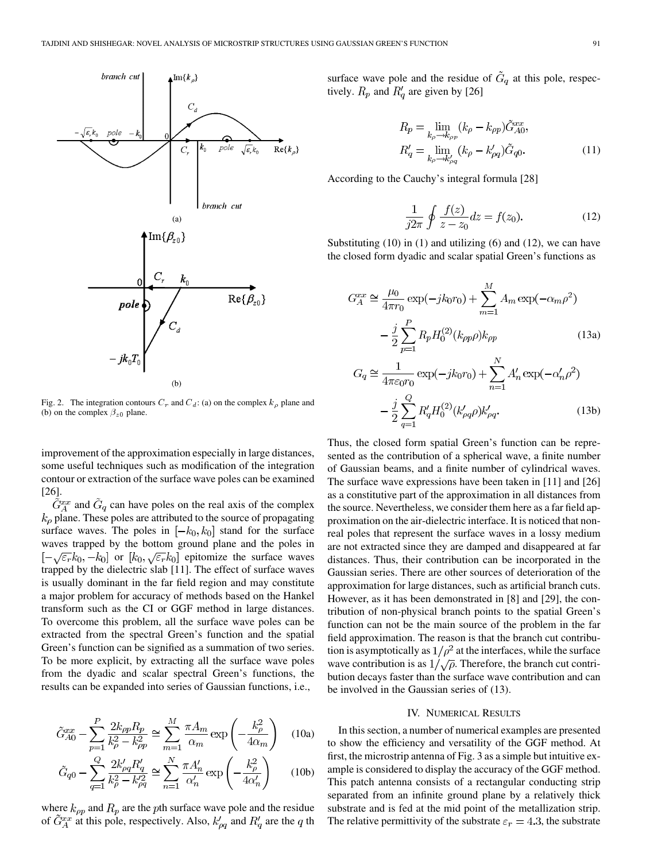

Fig. 2. The integration contours  $C_r$  and  $C_d$ : (a) on the complex  $k_\rho$  plane and (b) on the complex  $\beta_{z0}$  plane.

improvement of the approximation especially in large distances, some useful techniques such as modification of the integration contour or extraction of the surface wave poles can be examined [26].

 $ilde{G}_{A}^{xx}$  and  $\tilde{G}_{q}$  can have poles on the real axis of the complex  $k_{\rho}$  plane. These poles are attributed to the source of propagating surface waves. The poles in  $[-k_0, k_0]$  stand for the surface waves trapped by the bottom ground plane and the poles in  $[-\sqrt{\varepsilon_r}k_0, -k_0]$  or  $[k_0, \sqrt{\varepsilon_r}k_0]$  epitomize the surface waves trapped by the dielectric slab [11]. The effect of surface waves is usually dominant in the far field region and may constitute a major problem for accuracy of methods based on the Hankel transform such as the CI or GGF method in large distances. To overcome this problem, all the surface wave poles can be extracted from the spectral Green's function and the spatial Green's function can be signified as a summation of two series. To be more explicit, by extracting all the surface wave poles from the dyadic and scalar spectral Green's functions, the results can be expanded into series of Gaussian functions, i.e.,

$$
\tilde{G}_{A0}^{xx} - \sum_{p=1}^{P} \frac{2k_{\rho p} R_p}{k_{\rho}^2 - k_{\rho p}^2} \cong \sum_{m=1}^{M} \frac{\pi A_m}{\alpha_m} \exp\left(-\frac{k_{\rho}^2}{4\alpha_m}\right) \quad (10a)
$$

$$
\tilde{G}_{q0} - \sum_{q=1}^{Q} \frac{2k'_{\rho q} R'_q}{k_{\rho}^2 - k'^2_{\rho q}} \cong \sum_{n=1}^{N} \frac{\pi A'_n}{\alpha'_n} \exp\left(-\frac{k_{\rho}^2}{4\alpha'_n}\right) \tag{10b}
$$

where  $k_{\rho p}$  and  $R_p$  are the pth surface wave pole and the residue of  $\tilde{G}_{A}^{xx}$  at this pole, respectively. Also,  $k'_{pq}$  and  $R'_{q}$  are the q th surface wave pole and the residue of  $\tilde{G}_q$  at this pole, respectively.  $R_p$  and  $R'_q$  are given by [26]

$$
R_p = \lim_{k_{\rho} \to k_{\rho p}} (k_{\rho} - k_{\rho p}) \tilde{G}_{A0}^{xx},
$$
  
\n
$$
R'_q = \lim_{k_{\rho} \to k'_{\rho q}} (k_{\rho} - k'_{\rho q}) \tilde{G}_{q0}.
$$
\n(11)

According to the Cauchy's integral formula [28]

$$
\frac{1}{j2\pi} \oint \frac{f(z)}{z - z_0} dz = f(z_0).
$$
 (12)

Substituting  $(10)$  in  $(1)$  and utilizing  $(6)$  and  $(12)$ , we can have the closed form dyadic and scalar spatial Green's functions as

$$
G_A^{xx} \cong \frac{\mu_0}{4\pi r_0} \exp(-jk_0r_0) + \sum_{m=1}^M A_m \exp(-\alpha_m \rho^2)
$$

$$
- \frac{j}{2} \sum_{p=1}^P R_p H_0^{(2)}(k_{\rho p} \rho) k_{\rho p} \qquad (13a)
$$

$$
G_q \cong \frac{1}{4\pi \varepsilon_0 r_0} \exp(-jk_0r_0) + \sum_{n=1}^N A'_n \exp(-\alpha'_n \rho^2)
$$

$$
- \frac{j}{2} \sum_{q=1}^Q R'_q H_0^{(2)}(k'_{\rho q} \rho) k'_{\rho q}. \qquad (13b)
$$

Thus, the closed form spatial Green's function can be represented as the contribution of a spherical wave, a finite number of Gaussian beams, and a finite number of cylindrical waves. The surface wave expressions have been taken in [11] and [26] as a constitutive part of the approximation in all distances from the source. Nevertheless, we consider them here as a far field approximation on the air-dielectric interface. It is noticed that nonreal poles that represent the surface waves in a lossy medium are not extracted since they are damped and disappeared at far distances. Thus, their contribution can be incorporated in the Gaussian series. There are other sources of deterioration of the approximation for large distances, such as artificial branch cuts. However, as it has been demonstrated in [8] and [29], the contribution of non-physical branch points to the spatial Green's function can not be the main source of the problem in the far field approximation. The reason is that the branch cut contribution is asymptotically as  $1/\rho^2$  at the interfaces, while the surface wave contribution is as  $1/\sqrt{\rho}$ . Therefore, the branch cut contribution decays faster than the surface wave contribution and can be involved in the Gaussian series of (13).

#### IV. NUMERICAL RESULTS

In this section, a number of numerical examples are presented to show the efficiency and versatility of the GGF method. At first, the microstrip antenna of Fig. 3 as a simple but intuitive example is considered to display the accuracy of the GGF method. This patch antenna consists of a rectangular conducting strip separated from an infinite ground plane by a relatively thick substrate and is fed at the mid point of the metallization strip. The relative permittivity of the substrate  $\varepsilon_r = 4.3$ , the substrate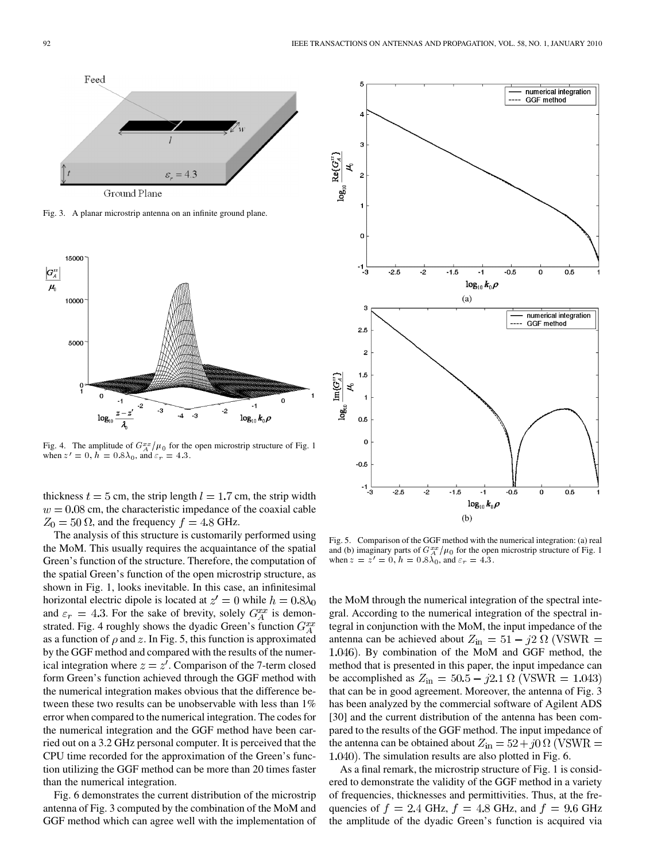

Fig. 3. A planar microstrip antenna on an infinite ground plane.



Fig. 4. The amplitude of  $G_A^{xx}/\mu_0$  for the open microstrip structure of Fig. 1 when  $z' = 0$ ,  $h = 0.8\lambda_0$ , and  $\varepsilon_r = 4.3$ .

thickness  $t = 5$  cm, the strip length  $l = 1.7$  cm, the strip width  $w = 0.08$  cm, the characteristic impedance of the coaxial cable  $Z_0 = 50 \Omega$ , and the frequency  $f = 4.8 \text{ GHz}$ .

The analysis of this structure is customarily performed using the MoM. This usually requires the acquaintance of the spatial Green's function of the structure. Therefore, the computation of the spatial Green's function of the open microstrip structure, as shown in Fig. 1, looks inevitable. In this case, an infinitesimal horizontal electric dipole is located at  $z' = 0$  while  $h = 0.8\lambda_0$ and  $\varepsilon_r = 4.3$ . For the sake of brevity, solely  $G_A^{xx}$  is demonstrated. Fig. 4 roughly shows the dyadic Green's function  $G_A^{xx}$ as a function of  $\rho$  and z. In Fig. 5, this function is approximated by the GGF method and compared with the results of the numerical integration where  $z = z'$ . Comparison of the 7-term closed form Green's function achieved through the GGF method with the numerical integration makes obvious that the difference between these two results can be unobservable with less than 1% error when compared to the numerical integration. The codes for the numerical integration and the GGF method have been carried out on a 3.2 GHz personal computer. It is perceived that the CPU time recorded for the approximation of the Green's function utilizing the GGF method can be more than 20 times faster than the numerical integration.

Fig. 6 demonstrates the current distribution of the microstrip antenna of Fig. 3 computed by the combination of the MoM and GGF method which can agree well with the implementation of



Fig. 5. Comparison of the GGF method with the numerical integration: (a) real and (b) imaginary parts of  $G_A^{xx}/\mu_0$  for the open microstrip structure of Fig. 1 when  $z = \overline{z'} = 0$ ,  $h = 0.8\lambda_0$ , and  $\varepsilon_r = 4.3$ .

the MoM through the numerical integration of the spectral integral. According to the numerical integration of the spectral integral in conjunction with the MoM, the input impedance of the antenna can be achieved about  $Z_{\text{in}} = 51 - j2 \Omega$  (VSWR = . By combination of the MoM and GGF method, the method that is presented in this paper, the input impedance can be accomplished as  $Z_{\text{in}} = 50.5 - j2.1 \Omega$  (VSWR = 1.043) that can be in good agreement. Moreover, the antenna of Fig. 3 has been analyzed by the commercial software of Agilent ADS [30] and the current distribution of the antenna has been compared to the results of the GGF method. The input impedance of the antenna can be obtained about  $Z_{\text{in}} = 52 + j0 \Omega$  (VSWR = 1.040). The simulation results are also plotted in Fig. 6.

As a final remark, the microstrip structure of Fig. 1 is considered to demonstrate the validity of the GGF method in a variety of frequencies, thicknesses and permittivities. Thus, at the frequencies of  $f = 2.4$  GHz,  $f = 4.8$  GHz, and  $f = 9.6$  GHz the amplitude of the dyadic Green's function is acquired via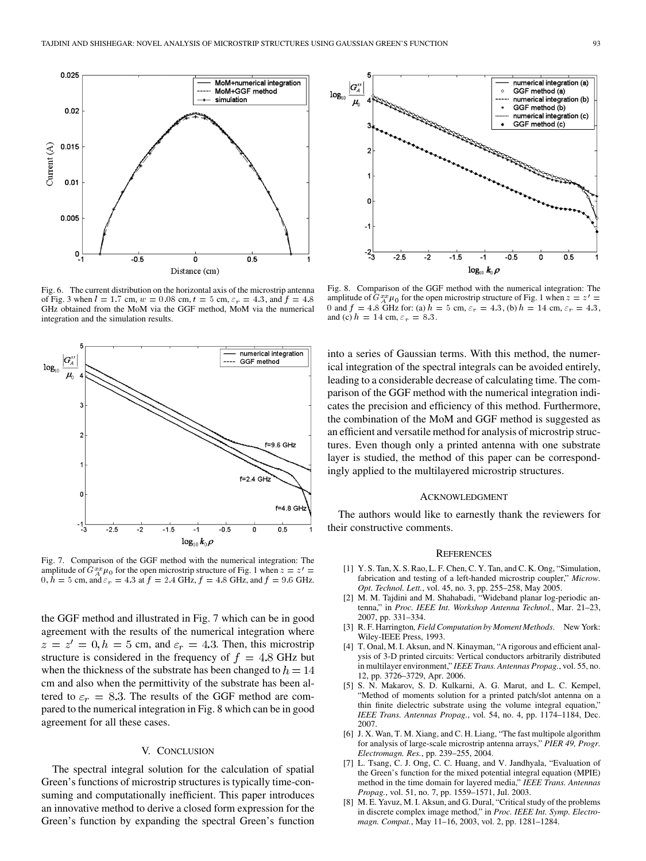

Fig. 6. The current distribution on the horizontal axis of the microstrip antenna of Fig. 3 when  $l = 1.7$  cm,  $w = 0.08$  cm,  $t = 5$  cm,  $\varepsilon_r = 4.3$ , and  $f = 4.8$ GHz obtained from the MoM via the GGF method, MoM via the numerical integration and the simulation results.



Fig. 7. Comparison of the GGF method with the numerical integration: The amplitude of  $G^{xx}_{A}\mu_0$  for the open microstrip structure of Fig. 1 when  $z = z'$  =  $0, \hat{h} = 5$  cm, and  $\varepsilon_r = 4.3$  at  $f = 2.4$  GHz,  $f = 4.8$  GHz, and  $f = 9.6$  GHz.

the GGF method and illustrated in Fig. 7 which can be in good agreement with the results of the numerical integration where  $z=z'=0, h=5$  cm, and  $\varepsilon_r=4.3$ . Then, this microstrip structure is considered in the frequency of  $f = 4.8$  GHz but when the thickness of the substrate has been changed to  $h = 14$ cm and also when the permittivity of the substrate has been altered to  $\varepsilon_r = 8.3$ . The results of the GGF method are compared to the numerical integration in Fig. 8 which can be in good agreement for all these cases.

## V. CONCLUSION

The spectral integral solution for the calculation of spatial Green's functions of microstrip structures is typically time-consuming and computationally inefficient. This paper introduces an innovative method to derive a closed form expression for the Green's function by expanding the spectral Green's function



Fig. 8. Comparison of the GGF method with the numerical integration: The amplitude of  $G_{A}^{xx}\mu_0$  for the open microstrip structure of Fig. 1 when  $z = z' =$ 0 and  $f = 4.8$  GHz for: (a)  $h = 5$  cm,  $\varepsilon_r = 4.3$ , (b)  $h = 14$  cm,  $\varepsilon_r = 4.3$ , and (c)  $h = 14$  cm,  $\varepsilon_r = 8.3$ .

into a series of Gaussian terms. With this method, the numerical integration of the spectral integrals can be avoided entirely, leading to a considerable decrease of calculating time. The comparison of the GGF method with the numerical integration indicates the precision and efficiency of this method. Furthermore, the combination of the MoM and GGF method is suggested as an efficient and versatile method for analysis of microstrip structures. Even though only a printed antenna with one substrate layer is studied, the method of this paper can be correspondingly applied to the multilayered microstrip structures.

## ACKNOWLEDGMENT

The authors would like to earnestly thank the reviewers for their constructive comments.

#### **REFERENCES**

- [1] Y. S. Tan, X. S. Rao, L. F. Chen, C. Y. Tan, and C. K. Ong, "Simulation, fabrication and testing of a left-handed microstrip coupler," *Microw. Opt. Technol. Lett.*, vol. 45, no. 3, pp. 255–258, May 2005.
- [2] M. M. Tajdini and M. Shahabadi, "Wideband planar log-periodic antenna," in *Proc. IEEE Int. Workshop Antenna Technol.*, Mar. 21–23, 2007, pp. 331–334.
- [3] R. F. Harrington*, Field Computation by Moment Methods*. New York: Wiley-IEEE Press, 1993.
- [4] T. Onal, M. I. Aksun, and N. Kinayman, "A rigorous and efficient analysis of 3-D printed circuits: Vertical conductors arbitrarily distributed in multilayer environment," *IEEE Trans. Antennas Propag.*, vol. 55, no. 12, pp. 3726–3729, Apr. 2006.
- [5] S. N. Makarov, S. D. Kulkarni, A. G. Marut, and L. C. Kempel, "Method of moments solution for a printed patch/slot antenna on a thin finite dielectric substrate using the volume integral equation," *IEEE Trans. Antennas Propag.*, vol. 54, no. 4, pp. 1174–1184, Dec. 2007.
- [6] J. X. Wan, T. M. Xiang, and C. H. Liang, "The fast multipole algorithm for analysis of large-scale microstrip antenna arrays," *PIER 49, Progr. Electromagn. Res.*, pp. 239–255, 2004.
- [7] L. Tsang, C. J. Ong, C. C. Huang, and V. Jandhyala, "Evaluation of the Green's function for the mixed potential integral equation (MPIE) method in the time domain for layered media," *IEEE Trans. Antennas Propag.*, vol. 51, no. 7, pp. 1559–1571, Jul. 2003.
- [8] M. E. Yavuz, M. I. Aksun, and G. Dural, "Critical study of the problems in discrete complex image method," in *Proc. IEEE Int. Symp. Electromagn. Compat.*, May 11–16, 2003, vol. 2, pp. 1281–1284.